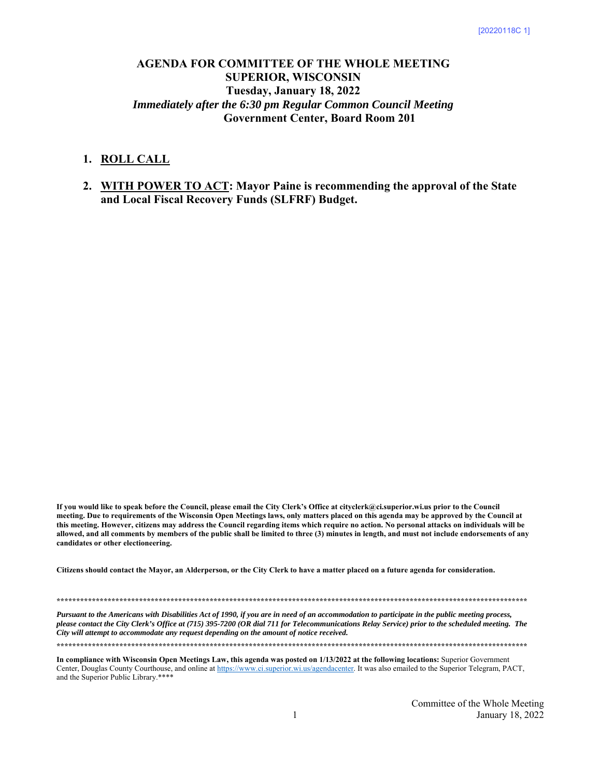# **AGENDA FOR COMMITTEE OF THE WHOLE MEETING SUPERIOR, WISCONSIN Tuesday, January 18, 2022**  *Immediately after the 6:30 pm Regular Common Council Meeting* **Government Center, Board Room 201**

## **1. ROLL CALL**

**2. WITH POWER TO ACT: Mayor Paine is recommending the approval of the State and Local Fiscal Recovery Funds (SLFRF) Budget.** 

**If you would like to speak before the Council, please email the City Clerk's Office at cityclerk@ci.superior.wi.us prior to the Council meeting. Due to requirements of the Wisconsin Open Meetings laws, only matters placed on this agenda may be approved by the Council at this meeting. However, citizens may address the Council regarding items which require no action. No personal attacks on individuals will be allowed, and all comments by members of the public shall be limited to three (3) minutes in length, and must not include endorsements of any candidates or other electioneering.** 

**Citizens should contact the Mayor, an Alderperson, or the City Clerk to have a matter placed on a future agenda for consideration.** 

**\*\*\*\*\*\*\*\*\*\*\*\*\*\*\*\*\*\*\*\*\*\*\*\*\*\*\*\*\*\*\*\*\*\*\*\*\*\*\*\*\*\*\*\*\*\*\*\*\*\*\*\*\*\*\*\*\*\*\*\*\*\*\*\*\*\*\*\*\*\*\*\*\*\*\*\*\*\*\*\*\*\*\*\*\*\*\*\*\*\*\*\*\*\*\*\*\*\*\*\*\*\*\*\*\*\*\*\*\*\*\*\*\*\*\*\*\*\*\*\*** 

*Pursuant to the Americans with Disabilities Act of 1990, if you are in need of an accommodation to participate in the public meeting process, please contact the City Clerk's Office at (715) 395-7200 (OR dial 711 for Telecommunications Relay Service) prior to the scheduled meeting. The City will attempt to accommodate any request depending on the amount of notice received.* 

**\*\*\*\*\*\*\*\*\*\*\*\*\*\*\*\*\*\*\*\*\*\*\*\*\*\*\*\*\*\*\*\*\*\*\*\*\*\*\*\*\*\*\*\*\*\*\*\*\*\*\*\*\*\*\*\*\*\*\*\*\*\*\*\*\*\*\*\*\*\*\*\*\*\*\*\*\*\*\*\*\*\*\*\*\*\*\*\*\*\*\*\*\*\*\*\*\*\*\*\*\*\*\*\*\*\*\*\*\*\*\*\*\*\*\*\*\*\*\*\*** 

**In compliance with Wisconsin Open Meetings Law, this agenda was posted on 1/13/2022 at the following locations:** Superior Government Center, Douglas County Courthouse, and online at https://www.ci.superior.wi.us/agendacenter. It was also emailed to the Superior Telegram, PACT, and the Superior Public Library.\*\*\*\*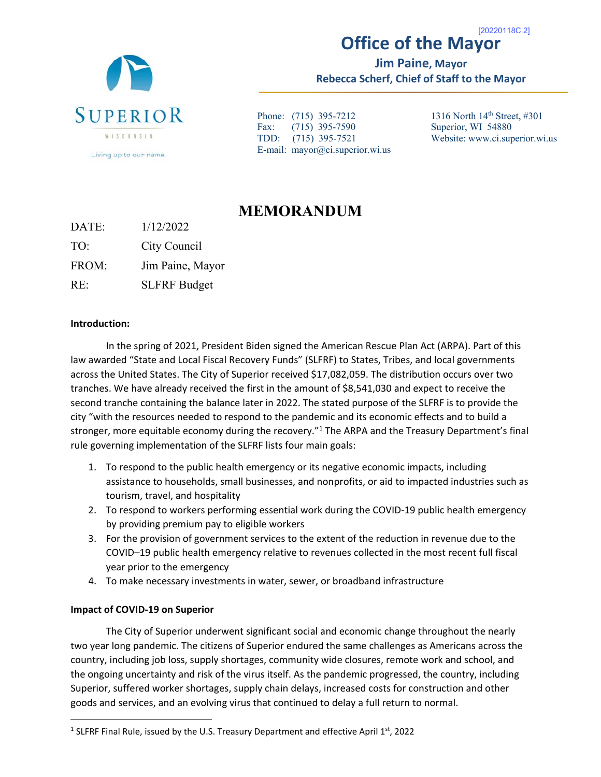

## **Office of the Mayor**  [20220118C 2]

**Jim Paine, Mayor Rebecca Scherf, Chief of Staff to the Mayor** 

Phone: (715) 395-7212 Fax: (715) 395-7590 TDD: (715) 395-7521 E-mail: mayor@ci.superior.wi.us 1316 North 14th Street, #301 Superior, WI 54880 Website: www.ci.superior.wi.us

# **MEMORANDUM**

DATE: 1/12/2022 TO: City Council FROM: Jim Paine, Mayor

RE: SLFRF Budget

# **Introduction:**

In the spring of 2021, President Biden signed the American Rescue Plan Act (ARPA). Part of this law awarded "State and Local Fiscal Recovery Funds" (SLFRF) to States, Tribes, and local governments across the United States. The City of Superior received \$17,082,059. The distribution occurs over two tranches. We have already received the first in the amount of \$8,541,030 and expect to receive the second tranche containing the balance later in 2022. The stated purpose of the SLFRF is to provide the city "with the resources needed to respond to the pandemic and its economic effects and to build a stronger, more equitable economy during the recovery."<sup>1</sup> The ARPA and the Treasury Department's final rule governing implementation of the SLFRF lists four main goals:

- 1. To respond to the public health emergency or its negative economic impacts, including assistance to households, small businesses, and nonprofits, or aid to impacted industries such as tourism, travel, and hospitality
- 2. To respond to workers performing essential work during the COVID-19 public health emergency by providing premium pay to eligible workers
- 3. For the provision of government services to the extent of the reduction in revenue due to the COVID–19 public health emergency relative to revenues collected in the most recent full fiscal year prior to the emergency
- 4. To make necessary investments in water, sewer, or broadband infrastructure

# **Impact of COVID‐19 on Superior**

 $\overline{a}$ 

The City of Superior underwent significant social and economic change throughout the nearly two year long pandemic. The citizens of Superior endured the same challenges as Americans across the country, including job loss, supply shortages, community wide closures, remote work and school, and the ongoing uncertainty and risk of the virus itself. As the pandemic progressed, the country, including Superior, suffered worker shortages, supply chain delays, increased costs for construction and other goods and services, and an evolving virus that continued to delay a full return to normal.

<sup>&</sup>lt;sup>1</sup> SLFRF Final Rule, issued by the U.S. Treasury Department and effective April  $1^{st}$ , 2022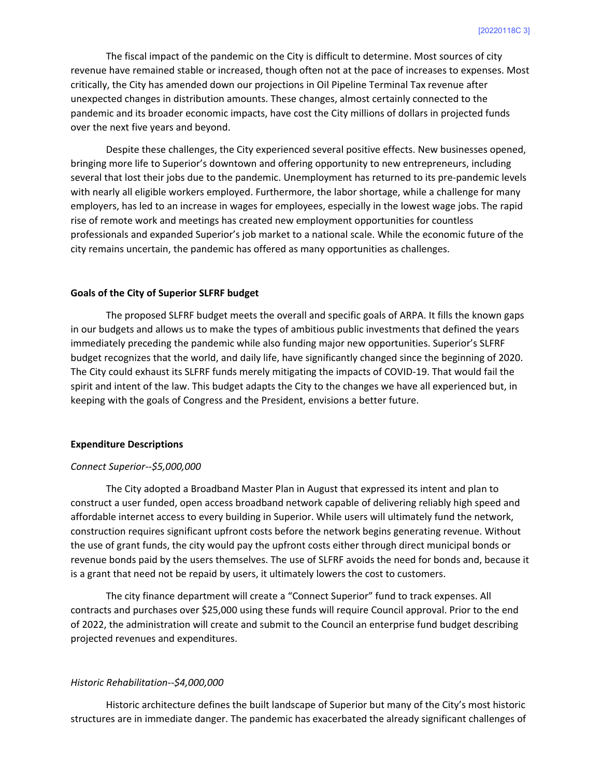The fiscal impact of the pandemic on the City is difficult to determine. Most sources of city revenue have remained stable or increased, though often not at the pace of increases to expenses. Most critically, the City has amended down our projections in Oil Pipeline Terminal Tax revenue after unexpected changes in distribution amounts. These changes, almost certainly connected to the pandemic and its broader economic impacts, have cost the City millions of dollars in projected funds over the next five years and beyond.

 Despite these challenges, the City experienced several positive effects. New businesses opened, bringing more life to Superior's downtown and offering opportunity to new entrepreneurs, including several that lost their jobs due to the pandemic. Unemployment has returned to its pre-pandemic levels with nearly all eligible workers employed. Furthermore, the labor shortage, while a challenge for many employers, has led to an increase in wages for employees, especially in the lowest wage jobs. The rapid rise of remote work and meetings has created new employment opportunities for countless professionals and expanded Superior's job market to a national scale. While the economic future of the city remains uncertain, the pandemic has offered as many opportunities as challenges.

#### **Goals of the City of Superior SLFRF budget**

The proposed SLFRF budget meets the overall and specific goals of ARPA. It fills the known gaps in our budgets and allows us to make the types of ambitious public investments that defined the years immediately preceding the pandemic while also funding major new opportunities. Superior's SLFRF budget recognizes that the world, and daily life, have significantly changed since the beginning of 2020. The City could exhaust its SLFRF funds merely mitigating the impacts of COVID‐19. That would fail the spirit and intent of the law. This budget adapts the City to the changes we have all experienced but, in keeping with the goals of Congress and the President, envisions a better future.

#### **Expenditure Descriptions**

## *Connect Superior‐‐\$5,000,000*

The City adopted a Broadband Master Plan in August that expressed its intent and plan to construct a user funded, open access broadband network capable of delivering reliably high speed and affordable internet access to every building in Superior. While users will ultimately fund the network, construction requires significant upfront costs before the network begins generating revenue. Without the use of grant funds, the city would pay the upfront costs either through direct municipal bonds or revenue bonds paid by the users themselves. The use of SLFRF avoids the need for bonds and, because it is a grant that need not be repaid by users, it ultimately lowers the cost to customers.

 The city finance department will create a "Connect Superior" fund to track expenses. All contracts and purchases over \$25,000 using these funds will require Council approval. Prior to the end of 2022, the administration will create and submit to the Council an enterprise fund budget describing projected revenues and expenditures.

#### *Historic Rehabilitation‐‐\$4,000,000*

Historic architecture defines the built landscape of Superior but many of the City's most historic structures are in immediate danger. The pandemic has exacerbated the already significant challenges of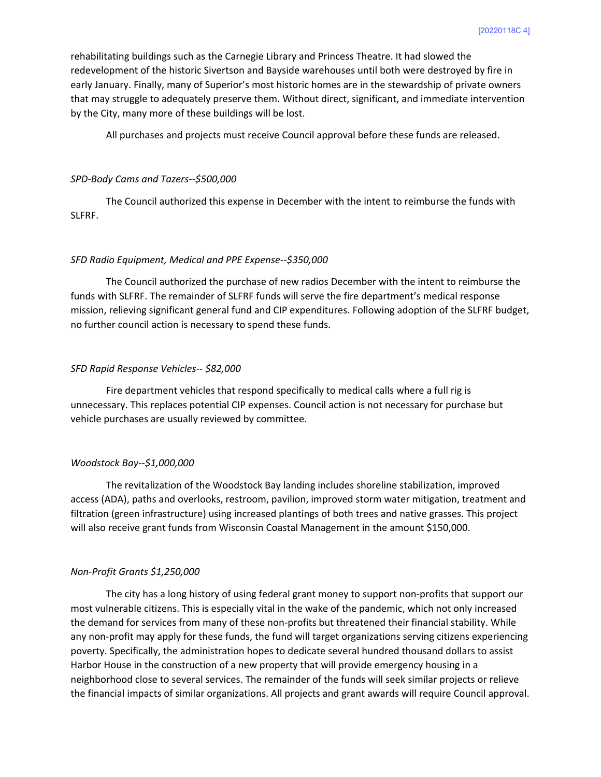rehabilitating buildings such as the Carnegie Library and Princess Theatre. It had slowed the redevelopment of the historic Sivertson and Bayside warehouses until both were destroyed by fire in early January. Finally, many of Superior's most historic homes are in the stewardship of private owners that may struggle to adequately preserve them. Without direct, significant, and immediate intervention by the City, many more of these buildings will be lost.

All purchases and projects must receive Council approval before these funds are released.

#### *SPD‐Body Cams and Tazers‐‐\$500,000*

The Council authorized this expense in December with the intent to reimburse the funds with SLFRF.

#### *SFD Radio Equipment, Medical and PPE Expense‐‐\$350,000*

The Council authorized the purchase of new radios December with the intent to reimburse the funds with SLFRF. The remainder of SLFRF funds will serve the fire department's medical response mission, relieving significant general fund and CIP expenditures. Following adoption of the SLFRF budget, no further council action is necessary to spend these funds.

#### *SFD Rapid Response Vehicles‐‐ \$82,000*

Fire department vehicles that respond specifically to medical calls where a full rig is unnecessary. This replaces potential CIP expenses. Council action is not necessary for purchase but vehicle purchases are usually reviewed by committee.

#### *Woodstock Bay‐‐\$1,000,000*

The revitalization of the Woodstock Bay landing includes shoreline stabilization, improved access (ADA), paths and overlooks, restroom, pavilion, improved storm water mitigation, treatment and filtration (green infrastructure) using increased plantings of both trees and native grasses. This project will also receive grant funds from Wisconsin Coastal Management in the amount \$150,000.

## *Non‐Profit Grants \$1,250,000*

The city has a long history of using federal grant money to support non‐profits that support our most vulnerable citizens. This is especially vital in the wake of the pandemic, which not only increased the demand for services from many of these non-profits but threatened their financial stability. While any non-profit may apply for these funds, the fund will target organizations serving citizens experiencing poverty. Specifically, the administration hopes to dedicate several hundred thousand dollars to assist Harbor House in the construction of a new property that will provide emergency housing in a neighborhood close to several services. The remainder of the funds will seek similar projects or relieve the financial impacts of similar organizations. All projects and grant awards will require Council approval.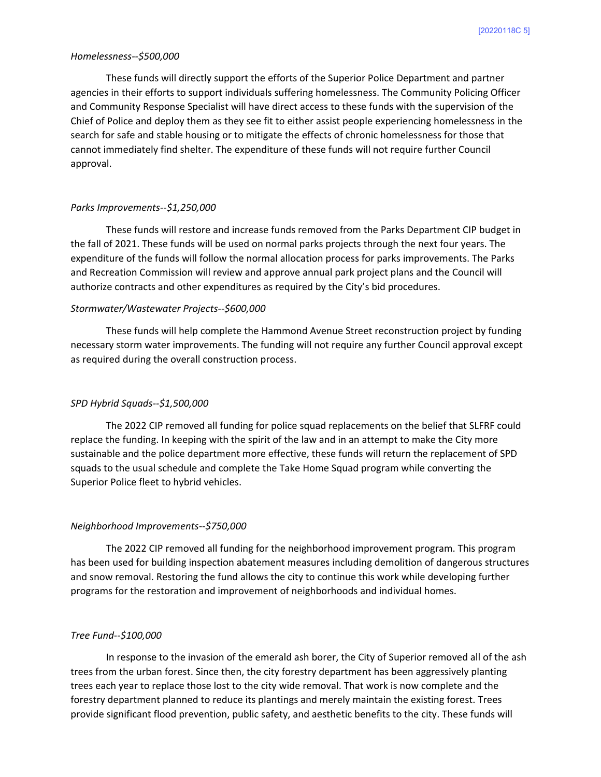#### *Homelessness‐‐\$500,000*

These funds will directly support the efforts of the Superior Police Department and partner agencies in their efforts to support individuals suffering homelessness. The Community Policing Officer and Community Response Specialist will have direct access to these funds with the supervision of the Chief of Police and deploy them as they see fit to either assist people experiencing homelessness in the search for safe and stable housing or to mitigate the effects of chronic homelessness for those that cannot immediately find shelter. The expenditure of these funds will not require further Council approval.

#### *Parks Improvements‐‐\$1,250,000*

These funds will restore and increase funds removed from the Parks Department CIP budget in the fall of 2021. These funds will be used on normal parks projects through the next four years. The expenditure of the funds will follow the normal allocation process for parks improvements. The Parks and Recreation Commission will review and approve annual park project plans and the Council will authorize contracts and other expenditures as required by the City's bid procedures.

#### *Stormwater/Wastewater Projects‐‐\$600,000*

These funds will help complete the Hammond Avenue Street reconstruction project by funding necessary storm water improvements. The funding will not require any further Council approval except as required during the overall construction process.

## *SPD Hybrid Squads‐‐\$1,500,000*

The 2022 CIP removed all funding for police squad replacements on the belief that SLFRF could replace the funding. In keeping with the spirit of the law and in an attempt to make the City more sustainable and the police department more effective, these funds will return the replacement of SPD squads to the usual schedule and complete the Take Home Squad program while converting the Superior Police fleet to hybrid vehicles.

#### *Neighborhood Improvements‐‐\$750,000*

 The 2022 CIP removed all funding for the neighborhood improvement program. This program has been used for building inspection abatement measures including demolition of dangerous structures and snow removal. Restoring the fund allows the city to continue this work while developing further programs for the restoration and improvement of neighborhoods and individual homes.

#### *Tree Fund‐‐\$100,000*

In response to the invasion of the emerald ash borer, the City of Superior removed all of the ash trees from the urban forest. Since then, the city forestry department has been aggressively planting trees each year to replace those lost to the city wide removal. That work is now complete and the forestry department planned to reduce its plantings and merely maintain the existing forest. Trees provide significant flood prevention, public safety, and aesthetic benefits to the city. These funds will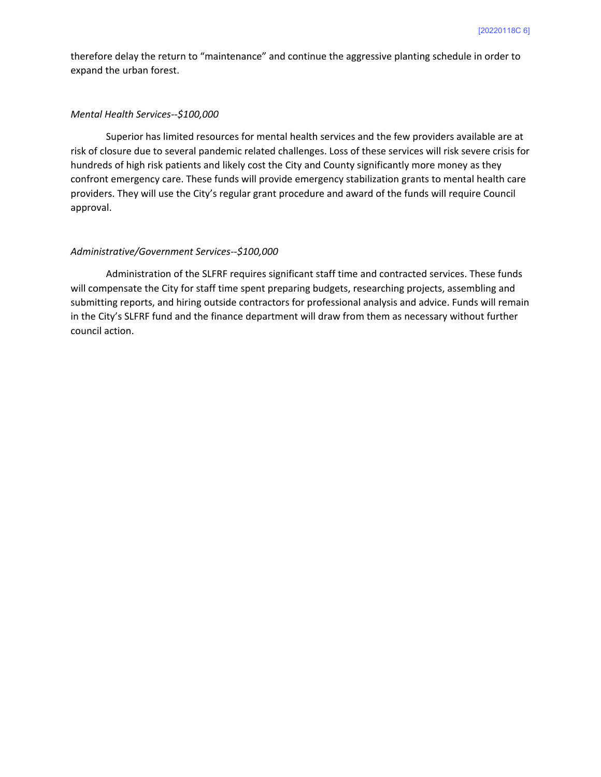therefore delay the return to "maintenance" and continue the aggressive planting schedule in order to expand the urban forest.

#### *Mental Health Services‐‐\$100,000*

Superior has limited resources for mental health services and the few providers available are at risk of closure due to several pandemic related challenges. Loss of these services will risk severe crisis for hundreds of high risk patients and likely cost the City and County significantly more money as they confront emergency care. These funds will provide emergency stabilization grants to mental health care providers. They will use the City's regular grant procedure and award of the funds will require Council approval.

#### *Administrative/Government Services‐‐\$100,000*

Administration of the SLFRF requires significant staff time and contracted services. These funds will compensate the City for staff time spent preparing budgets, researching projects, assembling and submitting reports, and hiring outside contractors for professional analysis and advice. Funds will remain in the City's SLFRF fund and the finance department will draw from them as necessary without further council action.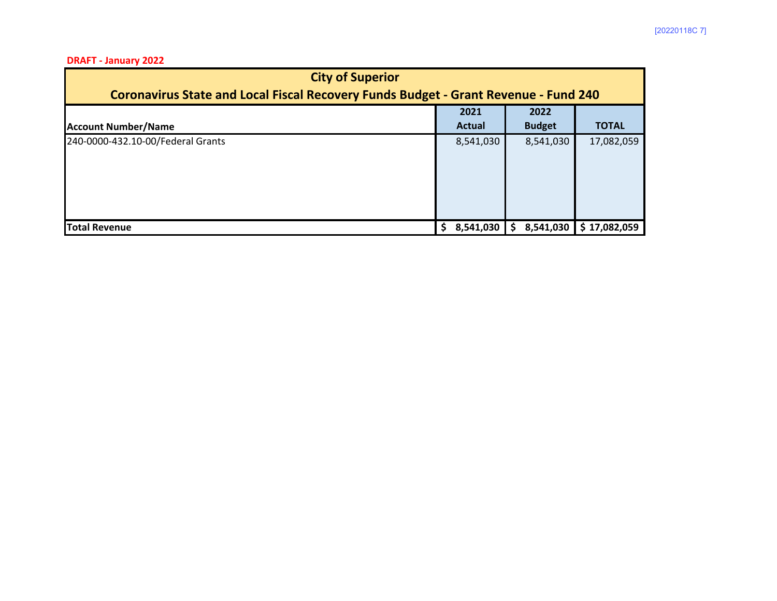## **DRAFT ‐ January 2022**

| <b>City of Superior</b>                                                                    |  |               |  |               |              |  |  |
|--------------------------------------------------------------------------------------------|--|---------------|--|---------------|--------------|--|--|
| <b>Coronavirus State and Local Fiscal Recovery Funds Budget - Grant Revenue - Fund 240</b> |  |               |  |               |              |  |  |
|                                                                                            |  | 2021          |  | 2022          |              |  |  |
| <b>Account Number/Name</b>                                                                 |  | <b>Actual</b> |  | <b>Budget</b> | <b>TOTAL</b> |  |  |
| 240-0000-432.10-00/Federal Grants                                                          |  | 8,541,030     |  | 8,541,030     | 17,082,059   |  |  |
| <b>Total Revenue</b>                                                                       |  | 8,541,030     |  | 8,541,030     | \$17,082,059 |  |  |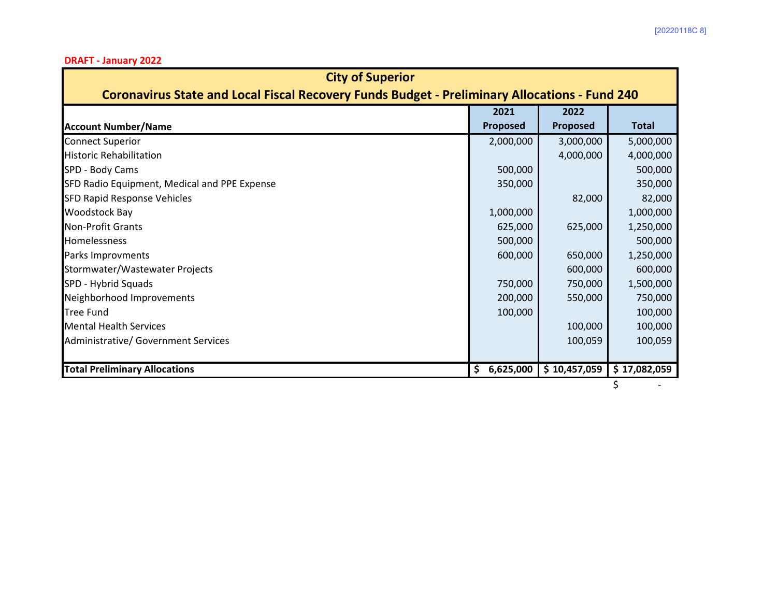**DRAFT ‐ January 2022**

| <b>City of Superior</b>                                                                              |     |           |              |              |  |  |  |
|------------------------------------------------------------------------------------------------------|-----|-----------|--------------|--------------|--|--|--|
| <b>Coronavirus State and Local Fiscal Recovery Funds Budget - Preliminary Allocations - Fund 240</b> |     |           |              |              |  |  |  |
|                                                                                                      |     | 2021      | 2022         |              |  |  |  |
| <b>Account Number/Name</b>                                                                           |     | Proposed  | Proposed     | <b>Total</b> |  |  |  |
| <b>Connect Superior</b>                                                                              |     | 2,000,000 | 3,000,000    | 5,000,000    |  |  |  |
| <b>Historic Rehabilitation</b>                                                                       |     |           | 4,000,000    | 4,000,000    |  |  |  |
| SPD - Body Cams                                                                                      |     | 500,000   |              | 500,000      |  |  |  |
| SFD Radio Equipment, Medical and PPE Expense                                                         |     | 350,000   |              | 350,000      |  |  |  |
| SFD Rapid Response Vehicles                                                                          |     |           | 82,000       | 82,000       |  |  |  |
| <b>Woodstock Bay</b>                                                                                 |     | 1,000,000 |              | 1,000,000    |  |  |  |
| <b>Non-Profit Grants</b>                                                                             |     | 625,000   | 625,000      | 1,250,000    |  |  |  |
| <b>Homelessness</b>                                                                                  |     | 500,000   |              | 500,000      |  |  |  |
| Parks Improvments                                                                                    |     | 600,000   | 650,000      | 1,250,000    |  |  |  |
| Stormwater/Wastewater Projects                                                                       |     |           | 600,000      | 600,000      |  |  |  |
| SPD - Hybrid Squads                                                                                  |     | 750,000   | 750,000      | 1,500,000    |  |  |  |
| Neighborhood Improvements                                                                            |     | 200,000   | 550,000      | 750,000      |  |  |  |
| <b>Tree Fund</b>                                                                                     |     | 100,000   |              | 100,000      |  |  |  |
| <b>Mental Health Services</b>                                                                        |     |           | 100,000      | 100,000      |  |  |  |
| <b>Administrative/ Government Services</b>                                                           |     |           | 100,059      | 100,059      |  |  |  |
|                                                                                                      |     |           |              |              |  |  |  |
| <b>Total Preliminary Allocations</b>                                                                 | \$. | 6,625,000 | \$10,457,059 | \$17,082,059 |  |  |  |
|                                                                                                      |     |           |              |              |  |  |  |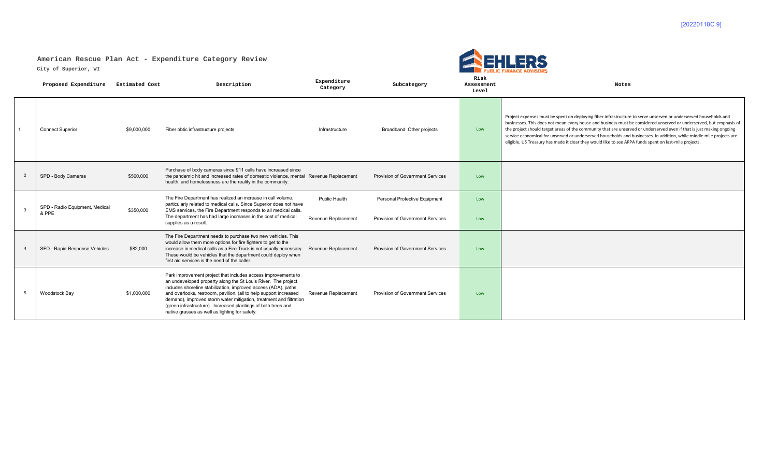## **American Rescue Plan Act - Expenditure Category Review**

**City of Superior, WI**



|    | Proposed Expenditure                    | <b>Estimated Cost</b> | Description                                                                                                                                                                                                                                                                                                                                                                                                                                                    | Expenditure<br>Category | Subcategory                             | Risk<br>Assessment<br>Level | Notes                                                                                                                                                                                                                                                                                                                                                                                                                                                                                                                                                                                               |
|----|-----------------------------------------|-----------------------|----------------------------------------------------------------------------------------------------------------------------------------------------------------------------------------------------------------------------------------------------------------------------------------------------------------------------------------------------------------------------------------------------------------------------------------------------------------|-------------------------|-----------------------------------------|-----------------------------|-----------------------------------------------------------------------------------------------------------------------------------------------------------------------------------------------------------------------------------------------------------------------------------------------------------------------------------------------------------------------------------------------------------------------------------------------------------------------------------------------------------------------------------------------------------------------------------------------------|
|    | <b>Connect Superior</b>                 | \$9,000,000           | Fiber obtic infrastructure projects                                                                                                                                                                                                                                                                                                                                                                                                                            | Infrastructure          | Broadband: Other projects               | Low                         | Project expenses must be spent on deploying fiber infrastructure to serve unserved or underserved households and<br>businesses. This does not mean every house and business must be considered unserved or underserved, but emphasis of<br>the project should target areas of the community that are unserved or underserved even if that is just making ongoing<br>service economical for unserved or underserved households and businesses. In addition, while middle mile projects are<br>eligible, US Treasury has made it clear they would like to see ARPA funds spent on last-mile projects. |
|    | SPD - Body Cameras                      | \$500,000             | Purchase of body cameras since 911 calls have increased since<br>the pandemic hit and increased rates of domestic violence, mental Revenue Replacement<br>health, and homelessness are the reality in the community.                                                                                                                                                                                                                                           |                         | Provision of Government Services        | Low                         |                                                                                                                                                                                                                                                                                                                                                                                                                                                                                                                                                                                                     |
|    | SPD - Radio Equipment, Medical<br>& PPE | \$350,000             | The Fire Department has realized an increase in call volume,<br>particularly related to medical calls. Since Superior does not have<br>EMS services, the Fire Department responds to all medical calls.                                                                                                                                                                                                                                                        | <b>Public Health</b>    | Personal Protective Equipment           | Low                         |                                                                                                                                                                                                                                                                                                                                                                                                                                                                                                                                                                                                     |
|    |                                         |                       | The department has had large increases in the cost of medical<br>Revenue Replacement<br>supplies as a result.                                                                                                                                                                                                                                                                                                                                                  |                         | <b>Provision of Government Services</b> | Low                         |                                                                                                                                                                                                                                                                                                                                                                                                                                                                                                                                                                                                     |
|    | SFD - Rapid Response Vehicles           | \$82,000              | The Fire Department needs to purchase two new vehicles. This<br>would allow them more options for fire fighters to get to the<br>increase in medical calls as a Fire Truck is not usually necessary.  Revenue Replacement<br>These would be vehicles that the department could deploy when<br>first aid services is the need of the caller.                                                                                                                    |                         | <b>Provision of Government Services</b> | Low                         |                                                                                                                                                                                                                                                                                                                                                                                                                                                                                                                                                                                                     |
| -5 | Woodstock Bay                           | \$1,000,000           | Park improvement project that includes access improvements to<br>an undeveloped property along the St Louis River. The project<br>includes shoreline stabilization, improved access (ADA), paths<br>and overlooks, restroom, pavilion, (all to help support increased<br>demand), improved storm water mitigation, treatment and filtration<br>(green infrastructure). Increased plantings of both trees and<br>native grasses as well as lighting for safety. | Revenue Replacement     | Provision of Government Services        | Low                         |                                                                                                                                                                                                                                                                                                                                                                                                                                                                                                                                                                                                     |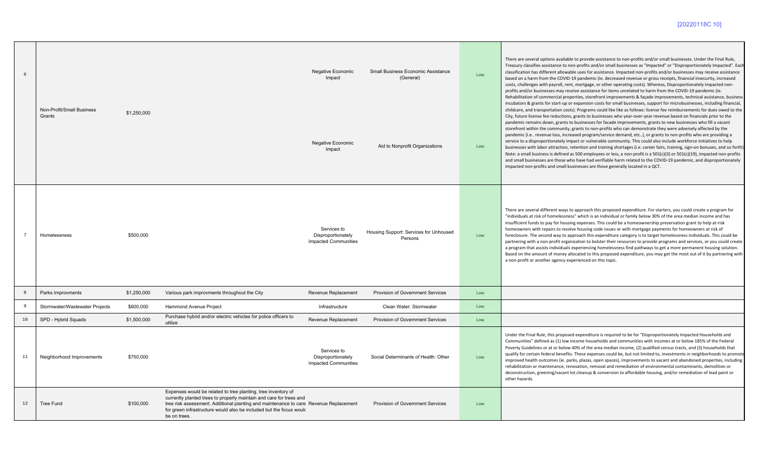## [20220118C 10]

| 6              | Non-Profit/Small Business<br>Grants | \$1,250,000 |                                                                                                                                                                                                                                                                                                                      | Negative Economic<br>Impact<br>Negative Economic<br>Impact       | Small Business Economic Assistance<br>(General)<br>Aid to Nonprofit Organizations | Low<br>Low | There are several options available to provide assistance to non-profits and/or small businesses. Under the Final Rule,<br>Treasury classifies assistance to non-profits and/or small businesses as "Impacted" or "Disproportionately Impacted". Each<br>classification has different allowable uses for assistance. Impacted non-profits and/or businesses may receive assistance<br>based on a harm from the COVID-19 pandemic (ie. decreased revenue or gross receipts, financial insecurity, increased<br>costs, challenges with payroll, rent, mortgage, or other operating costs). Whereas, Disproportionately Impacted non-<br>profits and/or businesses may receive assistance for items unrelated to harm from the COVID-19 pandemic (ie.<br>Rehabilitation of commercial properties, storefront improvements & façade improvements, technical assistance, business<br>incubators & grants for start-up or expansion costs for small businesses, support for microbusinesses, including financial,<br>childcare, and transportation costs). Programs could like like as follows: license fee reimbursements for dues owed to the<br>City, future license fee reductions, grants to businesses who year-over-year revenue based on financials prior to the<br>pandemic remains down, grants to businesses for facade improvements, grants to new businesses who fill a vacant<br>storefront within the community, grants to non-profits who can demonstrate they were adversely affected by the<br>pandemic (i.e revenue loss, increased program/service demand, etc), or grants to non-profits who are providing a<br>service to a disproportionately impact or vulnerable community. This could also include workforce initiatives to help<br>businesses with labor attraction, retention and training shortages (i.e. career fairs, training, sign-on bonuses, and so forth).<br>Note: a small business is defined as 500 employees or less, a non-profit is a 501(c)(3) or 501(c)(19), impacted non-profits<br>and small businesses are those who have had verifiable harm related to the COVID-19 pandemic, and disproportionately<br>impacted non-profits and small businesses are those generally located in a QCT. |
|----------------|-------------------------------------|-------------|----------------------------------------------------------------------------------------------------------------------------------------------------------------------------------------------------------------------------------------------------------------------------------------------------------------------|------------------------------------------------------------------|-----------------------------------------------------------------------------------|------------|------------------------------------------------------------------------------------------------------------------------------------------------------------------------------------------------------------------------------------------------------------------------------------------------------------------------------------------------------------------------------------------------------------------------------------------------------------------------------------------------------------------------------------------------------------------------------------------------------------------------------------------------------------------------------------------------------------------------------------------------------------------------------------------------------------------------------------------------------------------------------------------------------------------------------------------------------------------------------------------------------------------------------------------------------------------------------------------------------------------------------------------------------------------------------------------------------------------------------------------------------------------------------------------------------------------------------------------------------------------------------------------------------------------------------------------------------------------------------------------------------------------------------------------------------------------------------------------------------------------------------------------------------------------------------------------------------------------------------------------------------------------------------------------------------------------------------------------------------------------------------------------------------------------------------------------------------------------------------------------------------------------------------------------------------------------------------------------------------------------------------------------------------------------------------------------------------------------------------------|
|                | Homelessness                        | \$500,000   |                                                                                                                                                                                                                                                                                                                      | Services to<br>Disproportionately<br><b>Impacted Communities</b> | Housing Support: Services for Unhoused<br>Persons                                 | Low        | There are several different ways to approach this proposed expenditure. For starters, you could create a program for<br>"individuals at risk of homelessness" which is an individual or family below 30% of the area median income and has<br>insufficient funds to pay for housing expenses. This could be a homeownership preservation grant to help at-risk<br>homeowners with repairs to resolve housing code issues or with mortgage payments for homeowners at risk of<br>foreclosure. The second way to approach this expenditure category is to target homelessness individuals. This could be<br>partnering with a non-profit organization to bolster their resources to provide programs and services, or you could create<br>a program that assists individuals experiencing homelessness find pathways to get a more permanent housing solution.<br>Based on the amount of money allocated to this proposed expenditure, you may get the most out of it by partnering with<br>a non-profit or another agency experienced on this topic.                                                                                                                                                                                                                                                                                                                                                                                                                                                                                                                                                                                                                                                                                                                                                                                                                                                                                                                                                                                                                                                                                                                                                                                |
| $\mathbf{g}$   | Parks Improvments                   | \$1,250,000 | Various park improvments throughout the City                                                                                                                                                                                                                                                                         | Revenue Replacement                                              | Provision of Government Services                                                  | Low        |                                                                                                                                                                                                                                                                                                                                                                                                                                                                                                                                                                                                                                                                                                                                                                                                                                                                                                                                                                                                                                                                                                                                                                                                                                                                                                                                                                                                                                                                                                                                                                                                                                                                                                                                                                                                                                                                                                                                                                                                                                                                                                                                                                                                                                    |
| $\overline{9}$ | Stormwater/Wastewater Projects      | \$600,000   | Hammond Avenue Project                                                                                                                                                                                                                                                                                               | Infrastructure                                                   | Clean Water: Stormwater                                                           | Low        |                                                                                                                                                                                                                                                                                                                                                                                                                                                                                                                                                                                                                                                                                                                                                                                                                                                                                                                                                                                                                                                                                                                                                                                                                                                                                                                                                                                                                                                                                                                                                                                                                                                                                                                                                                                                                                                                                                                                                                                                                                                                                                                                                                                                                                    |
| 10             | SPD - Hybrid Squads                 | \$1,500,000 | Purchase hybrid and/or electric vehicles for police officers to<br>utilize                                                                                                                                                                                                                                           | Revenue Replacement                                              | <b>Provision of Government Services</b>                                           | Low        |                                                                                                                                                                                                                                                                                                                                                                                                                                                                                                                                                                                                                                                                                                                                                                                                                                                                                                                                                                                                                                                                                                                                                                                                                                                                                                                                                                                                                                                                                                                                                                                                                                                                                                                                                                                                                                                                                                                                                                                                                                                                                                                                                                                                                                    |
| 11             | Neighborhood Improvements           | \$750,000   |                                                                                                                                                                                                                                                                                                                      | Services to<br>Disproportionately<br><b>Impacted Communities</b> | Social Determinants of Health: Other                                              | Low        | Under the Final Rule, this proposed expenditure is required to be for "Disproportionately Impacted Households and<br>Communities" defined as (1) low income households and communities with incomes at or below 185% of the Federal<br>Poverty Guidelines or at or below 40% of the area median income, (2) qualified census tracts, and (3) households that<br>qualify for certain federal benefits. These expenses could be, but not limited to, investments in neighborhoods to promote<br>improved health outcomes (ie. parks, plazas, open spaces), improvements to vacant and abandoned properties, including<br>rehabilitation or maintenance, renovation, removal and remediation of environmental contaminants, demolition or<br>deconstruction, greening/vacant lot cleanup & conversion to affordable housing, and/or remediation of lead paint or<br>other hazards.                                                                                                                                                                                                                                                                                                                                                                                                                                                                                                                                                                                                                                                                                                                                                                                                                                                                                                                                                                                                                                                                                                                                                                                                                                                                                                                                                    |
| 12             | <b>Tree Fund</b>                    | \$100,000   | Expenses would be related to tree planting, tree inventory of<br>currently planted trees to properly maintain and care for trees and<br>tree risk assessment. Additional planting and maintenance to care Revenue Replacement<br>for green infrastructure would also be included but the focus would<br>be on trees. |                                                                  | <b>Provision of Government Services</b>                                           | Low        |                                                                                                                                                                                                                                                                                                                                                                                                                                                                                                                                                                                                                                                                                                                                                                                                                                                                                                                                                                                                                                                                                                                                                                                                                                                                                                                                                                                                                                                                                                                                                                                                                                                                                                                                                                                                                                                                                                                                                                                                                                                                                                                                                                                                                                    |